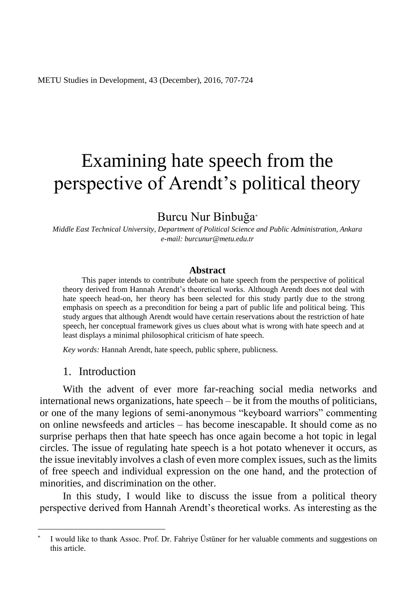# Examining hate speech from the perspective of Arendt's political theory

# Burcu Nur Binbuğa\*

*Middle East Technical University, Department of Political Science and Public Administration, Ankara e-mail: burcunur@metu.edu.tr*

#### **Abstract**

This paper intends to contribute debate on hate speech from the perspective of political theory derived from Hannah Arendt's theoretical works. Although Arendt does not deal with hate speech head-on, her theory has been selected for this study partly due to the strong emphasis on speech as a precondition for being a part of public life and political being. This study argues that although Arendt would have certain reservations about the restriction of hate speech, her conceptual framework gives us clues about what is wrong with hate speech and at least displays a minimal philosophical criticism of hate speech.

*Key words:* Hannah Arendt, hate speech, public sphere, publicness.

#### 1. Introduction

 $\overline{a}$ 

With the advent of ever more far-reaching social media networks and international news organizations, hate speech – be it from the mouths of politicians, or one of the many legions of semi-anonymous "keyboard warriors" commenting on online newsfeeds and articles – has become inescapable. It should come as no surprise perhaps then that hate speech has once again become a hot topic in legal circles. The issue of regulating hate speech is a hot potato whenever it occurs, as the issue inevitably involves a clash of even more complex issues, such as the limits of free speech and individual expression on the one hand, and the protection of minorities, and discrimination on the other.

In this study, I would like to discuss the issue from a political theory perspective derived from Hannah Arendt's theoretical works. As interesting as the

<sup>\*</sup> I would like to thank Assoc. Prof. Dr. Fahriye Üstüner for her valuable comments and suggestions on this article.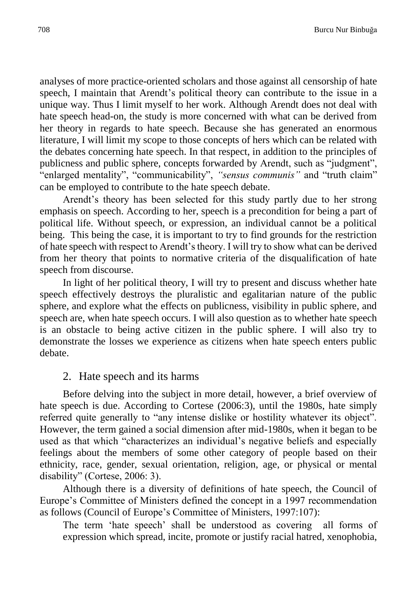analyses of more practice-oriented scholars and those against all censorship of hate speech, I maintain that Arendt's political theory can contribute to the issue in a unique way. Thus I limit myself to her work. Although Arendt does not deal with hate speech head-on, the study is more concerned with what can be derived from her theory in regards to hate speech. Because she has generated an enormous literature, I will limit my scope to those concepts of hers which can be related with the debates concerning hate speech. In that respect, in addition to the principles of publicness and public sphere, concepts forwarded by Arendt, such as "judgment", "enlarged mentality", "communicability", *"sensus communis"* and "truth claim" can be employed to contribute to the hate speech debate.

Arendt's theory has been selected for this study partly due to her strong emphasis on speech. According to her, speech is a precondition for being a part of political life. Without speech, or expression, an individual cannot be a political being. This being the case, it is important to try to find grounds for the restriction of hate speech with respect to Arendt's theory. I will try to show what can be derived from her theory that points to normative criteria of the disqualification of hate speech from discourse.

In light of her political theory, I will try to present and discuss whether hate speech effectively destroys the pluralistic and egalitarian nature of the public sphere, and explore what the effects on publicness, visibility in public sphere, and speech are, when hate speech occurs. I will also question as to whether hate speech is an obstacle to being active citizen in the public sphere. I will also try to demonstrate the losses we experience as citizens when hate speech enters public debate.

# 2. Hate speech and its harms

Before delving into the subject in more detail, however, a brief overview of hate speech is due. According to Cortese (2006:3), until the 1980s, hate simply referred quite generally to "any intense dislike or hostility whatever its object". However, the term gained a social dimension after mid-1980s, when it began to be used as that which "characterizes an individual's negative beliefs and especially feelings about the members of some other category of people based on their ethnicity, race, gender, sexual orientation, religion, age, or physical or mental disability" (Cortese, 2006: 3).

Although there is a diversity of definitions of hate speech, the Council of Europe's Committee of Ministers defined the concept in a 1997 recommendation as follows (Council of Europe's Committee of Ministers, 1997:107):

The term 'hate speech' shall be understood as covering all forms of expression which spread, incite, promote or justify racial hatred, xenophobia,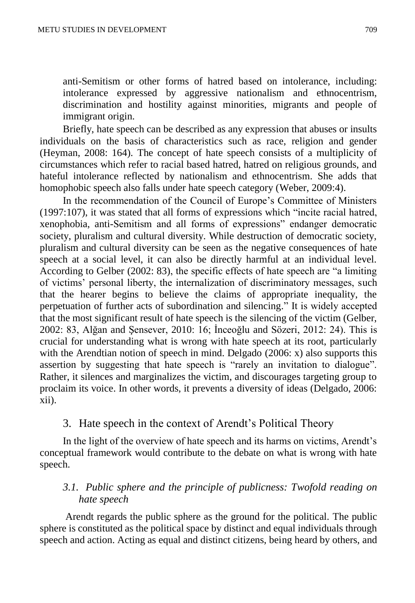anti-Semitism or other forms of hatred based on intolerance, including: intolerance expressed by aggressive nationalism and ethnocentrism, discrimination and hostility against minorities, migrants and people of immigrant origin.

Briefly, hate speech can be described as any expression that abuses or insults individuals on the basis of characteristics such as race, religion and gender (Heyman, 2008: 164). The concept of hate speech consists of a multiplicity of circumstances which refer to racial based hatred, hatred on religious grounds, and hateful intolerance reflected by nationalism and ethnocentrism. She adds that homophobic speech also falls under hate speech category (Weber, 2009:4).

In the recommendation of the Council of Europe's Committee of Ministers (1997:107), it was stated that all forms of expressions which "incite racial hatred, xenophobia, anti-Semitism and all forms of expressions" endanger democratic society, pluralism and cultural diversity. While destruction of democratic society, pluralism and cultural diversity can be seen as the negative consequences of hate speech at a social level, it can also be directly harmful at an individual level. According to Gelber (2002: 83), the specific effects of hate speech are "a limiting of victims' personal liberty, the internalization of discriminatory messages, such that the hearer begins to believe the claims of appropriate inequality, the perpetuation of further acts of subordination and silencing." It is widely accepted that the most significant result of hate speech is the silencing of the victim (Gelber, 2002: 83, Alğan and Şensever, 2010: 16; İnceoğlu and Sözeri, 2012: 24). This is crucial for understanding what is wrong with hate speech at its root, particularly with the Arendtian notion of speech in mind. Delgado  $(2006; x)$  also supports this assertion by suggesting that hate speech is "rarely an invitation to dialogue". Rather, it silences and marginalizes the victim, and discourages targeting group to proclaim its voice. In other words, it prevents a diversity of ideas (Delgado, 2006: xii).

# 3. Hate speech in the context of Arendt's Political Theory

In the light of the overview of hate speech and its harms on victims, Arendt's conceptual framework would contribute to the debate on what is wrong with hate speech.

# *3.1. Public sphere and the principle of publicness: Twofold reading on hate speech*

Arendt regards the public sphere as the ground for the political. The public sphere is constituted as the political space by distinct and equal individuals through speech and action. Acting as equal and distinct citizens, being heard by others, and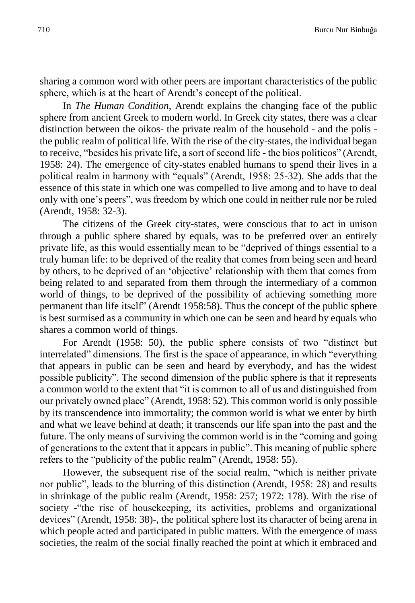sharing a common word with other peers are important characteristics of the public sphere, which is at the heart of Arendt's concept of the political.

In *The Human Condition*, Arendt explains the changing face of the public sphere from ancient Greek to modern world. In Greek city states, there was a clear distinction between the oikos- the private realm of the household - and the polis the public realm of political life. With the rise of the city-states, the individual began to receive, "besides his private life, a sort of second life - the bios politicos" (Arendt, 1958: 24). The emergence of city-states enabled humans to spend their lives in a political realm in harmony with "equals" (Arendt, 1958: 25-32). She adds that the essence of this state in which one was compelled to live among and to have to deal only with one's peers", was freedom by which one could in neither rule nor be ruled (Arendt, 1958: 32-3).

The citizens of the Greek city-states, were conscious that to act in unison through a public sphere shared by equals, was to be preferred over an entirely private life, as this would essentially mean to be "deprived of things essential to a truly human life: to be deprived of the reality that comes from being seen and heard by others, to be deprived of an 'objective' relationship with them that comes from being related to and separated from them through the intermediary of a common world of things, to be deprived of the possibility of achieving something more permanent than life itself" (Arendt 1958:58). Thus the concept of the public sphere is best surmised as a community in which one can be seen and heard by equals who shares a common world of things.

For Arendt (1958: 50), the public sphere consists of two "distinct but interrelated" dimensions. The first is the space of appearance, in which "everything that appears in public can be seen and heard by everybody, and has the widest possible publicity". The second dimension of the public sphere is that it represents a common world to the extent that "it is common to all of us and distinguished from our privately owned place" (Arendt, 1958: 52). This common world is only possible by its transcendence into immortality; the common world is what we enter by birth and what we leave behind at death; it transcends our life span into the past and the future. The only means of surviving the common world is in the "coming and going of generations to the extent that it appears in public". This meaning of public sphere refers to the "publicity of the public realm" (Arendt, 1958: 55).

However, the subsequent rise of the social realm, "which is neither private nor public", leads to the blurring of this distinction (Arendt, 1958: 28) and results in shrinkage of the public realm (Arendt, 1958: 257; 1972: 178). With the rise of society -"the rise of housekeeping, its activities, problems and organizational devices" (Arendt, 1958: 38)-, the political sphere lost its character of being arena in which people acted and participated in public matters. With the emergence of mass societies, the realm of the social finally reached the point at which it embraced and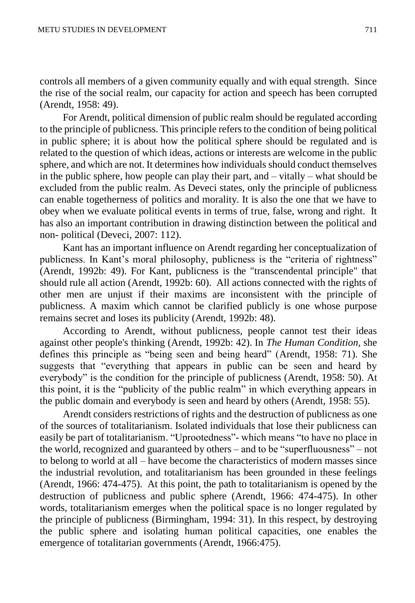controls all members of a given community equally and with equal strength. Since the rise of the social realm, our capacity for action and speech has been corrupted (Arendt, 1958: 49).

For Arendt, political dimension of public realm should be regulated according to the principle of publicness. This principle refers to the condition of being political in public sphere; it is about how the political sphere should be regulated and is related to the question of which ideas, actions or interests are welcome in the public sphere, and which are not. It determines how individuals should conduct themselves in the public sphere, how people can play their part, and – vitally – what should be excluded from the public realm. As Deveci states, only the principle of publicness can enable togetherness of politics and morality. It is also the one that we have to obey when we evaluate political events in terms of true, false, wrong and right. It has also an important contribution in drawing distinction between the political and non- political (Deveci, 2007: 112).

Kant has an important influence on Arendt regarding her conceptualization of publicness. In Kant's moral philosophy, publicness is the "criteria of rightness" (Arendt, 1992b: 49). For Kant, publicness is the "transcendental principle" that should rule all action (Arendt, 1992b: 60). All actions connected with the rights of other men are unjust if their maxims are inconsistent with the principle of publicness. A maxim which cannot be clarified publicly is one whose purpose remains secret and loses its publicity (Arendt, 1992b: 48).

According to Arendt, without publicness, people cannot test their ideas against other people's thinking (Arendt, 1992b: 42). In *The Human Condition,* she defines this principle as "being seen and being heard" (Arendt, 1958: 71). She suggests that "everything that appears in public can be seen and heard by everybody" is the condition for the principle of publicness (Arendt, 1958: 50). At this point, it is the "publicity of the public realm" in which everything appears in the public domain and everybody is seen and heard by others (Arendt, 1958: 55).

Arendt considers restrictions of rights and the destruction of publicness as one of the sources of totalitarianism. Isolated individuals that lose their publicness can easily be part of totalitarianism. "Uprootedness"- which means "to have no place in the world, recognized and guaranteed by others – and to be "superfluousness" – not to belong to world at all – have become the characteristics of modern masses since the industrial revolution, and totalitarianism has been grounded in these feelings (Arendt, 1966: 474-475). At this point, the path to totalitarianism is opened by the destruction of publicness and public sphere (Arendt, 1966: 474-475). In other words, totalitarianism emerges when the political space is no longer regulated by the principle of publicness (Birmingham, 1994: 31). In this respect, by destroying the public sphere and isolating human political capacities, one enables the emergence of totalitarian governments (Arendt, 1966:475).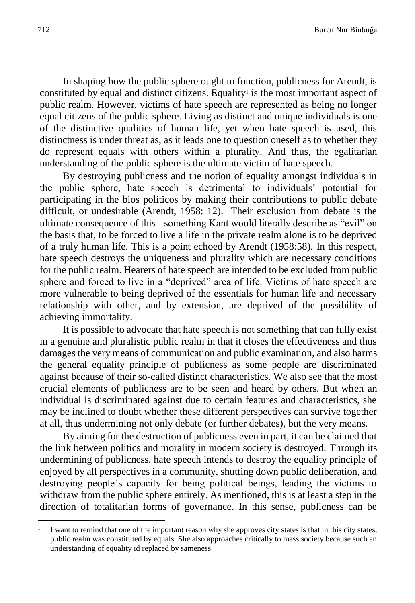In shaping how the public sphere ought to function, publicness for Arendt, is constituted by equal and distinct citizens. Equality<sup>1</sup> is the most important aspect of public realm. However, victims of hate speech are represented as being no longer equal citizens of the public sphere. Living as distinct and unique individuals is one of the distinctive qualities of human life, yet when hate speech is used, this distinctness is under threat as, as it leads one to question oneself as to whether they do represent equals with others within a plurality. And thus, the egalitarian understanding of the public sphere is the ultimate victim of hate speech.

By destroying publicness and the notion of equality amongst individuals in the public sphere, hate speech is detrimental to individuals' potential for participating in the bios politicos by making their contributions to public debate difficult, or undesirable (Arendt, 1958: 12). Their exclusion from debate is the ultimate consequence of this - something Kant would literally describe as "evil" on the basis that, to be forced to live a life in the private realm alone is to be deprived of a truly human life. This is a point echoed by Arendt (1958:58). In this respect, hate speech destroys the uniqueness and plurality which are necessary conditions for the public realm. Hearers of hate speech are intended to be excluded from public sphere and forced to live in a "deprived" area of life. Victims of hate speech are more vulnerable to being deprived of the essentials for human life and necessary relationship with other, and by extension, are deprived of the possibility of achieving immortality.

It is possible to advocate that hate speech is not something that can fully exist in a genuine and pluralistic public realm in that it closes the effectiveness and thus damages the very means of communication and public examination, and also harms the general equality principle of publicness as some people are discriminated against because of their so-called distinct characteristics. We also see that the most crucial elements of publicness are to be seen and heard by others. But when an individual is discriminated against due to certain features and characteristics, she may be inclined to doubt whether these different perspectives can survive together at all, thus undermining not only debate (or further debates), but the very means.

By aiming for the destruction of publicness even in part, it can be claimed that the link between politics and morality in modern society is destroyed. Through its undermining of publicness, hate speech intends to destroy the equality principle of enjoyed by all perspectives in a community, shutting down public deliberation, and destroying people's capacity for being political beings, leading the victims to withdraw from the public sphere entirely. As mentioned, this is at least a step in the direction of totalitarian forms of governance. In this sense, publicness can be

 $\overline{a}$ 

<sup>1</sup> I want to remind that one of the important reason why she approves city states is that in this city states, public realm was constituted by equals. She also approaches critically to mass society because such an understanding of equality id replaced by sameness.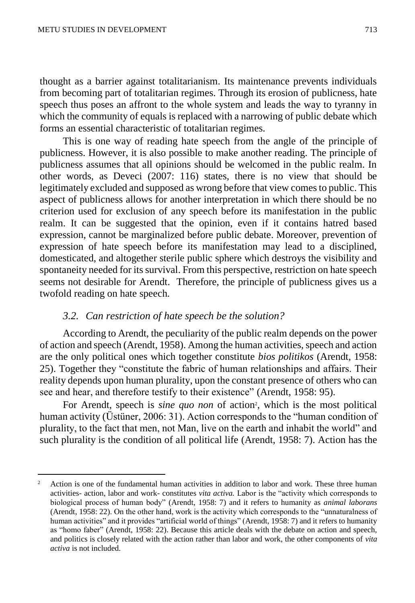$\overline{a}$ 

thought as a barrier against totalitarianism. Its maintenance prevents individuals from becoming part of totalitarian regimes. Through its erosion of publicness, hate speech thus poses an affront to the whole system and leads the way to tyranny in which the community of equals is replaced with a narrowing of public debate which forms an essential characteristic of totalitarian regimes.

This is one way of reading hate speech from the angle of the principle of publicness. However, it is also possible to make another reading. The principle of publicness assumes that all opinions should be welcomed in the public realm. In other words, as Deveci (2007: 116) states, there is no view that should be legitimately excluded and supposed as wrong before that view comes to public. This aspect of publicness allows for another interpretation in which there should be no criterion used for exclusion of any speech before its manifestation in the public realm. It can be suggested that the opinion, even if it contains hatred based expression, cannot be marginalized before public debate. Moreover, prevention of expression of hate speech before its manifestation may lead to a disciplined, domesticated, and altogether sterile public sphere which destroys the visibility and spontaneity needed for its survival. From this perspective, restriction on hate speech seems not desirable for Arendt. Therefore, the principle of publicness gives us a twofold reading on hate speech.

#### *3.2. Can restriction of hate speech be the solution?*

According to Arendt, the peculiarity of the public realm depends on the power of action and speech (Arendt, 1958). Among the human activities, speech and action are the only political ones which together constitute *bios politikos* (Arendt, 1958: 25). Together they "constitute the fabric of human relationships and affairs. Their reality depends upon human plurality, upon the constant presence of others who can see and hear, and therefore testify to their existence" (Arendt, 1958: 95).

For Arendt, speech is *sine quo non* of action<sup>2</sup>, which is the most political human activity (Üstüner, 2006: 31). Action corresponds to the "human condition of plurality, to the fact that men, not Man, live on the earth and inhabit the world" and such plurality is the condition of all political life (Arendt, 1958: 7). Action has the

<sup>2</sup> Action is one of the fundamental human activities in addition to labor and work. These three human activities- action, labor and work- constitutes *vita activa.* Labor is the "activity which corresponds to biological process of human body" (Arendt, 1958: 7) and it refers to humanity as *animal laborans* (Arendt, 1958: 22). On the other hand, work is the activity which corresponds to the "unnaturalness of human activities" and it provides "artificial world of things" (Arendt, 1958: 7) and it refers to humanity as "homo faber" (Arendt, 1958: 22). Because this article deals with the debate on action and speech, and politics is closely related with the action rather than labor and work, the other components of *vita activa* is not included.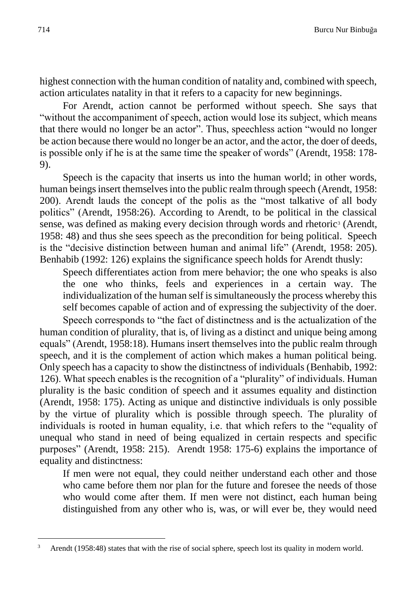highest connection with the human condition of natality and, combined with speech, action articulates natality in that it refers to a capacity for new beginnings.

For Arendt, action cannot be performed without speech. She says that "without the accompaniment of speech, action would lose its subject, which means that there would no longer be an actor". Thus, speechless action "would no longer be action because there would no longer be an actor, and the actor, the doer of deeds, is possible only if he is at the same time the speaker of words" (Arendt, 1958: 178- 9).

Speech is the capacity that inserts us into the human world; in other words, human beings insert themselves into the public realm through speech (Arendt, 1958: 200). Arendt lauds the concept of the polis as the "most talkative of all body politics" (Arendt, 1958:26). According to Arendt, to be political in the classical sense, was defined as making every decision through words and rhetoric<sup>3</sup> (Arendt, 1958: 48) and thus she sees speech as the precondition for being political. Speech is the "decisive distinction between human and animal life" (Arendt, 1958: 205). Benhabib (1992: 126) explains the significance speech holds for Arendt thusly:

Speech differentiates action from mere behavior; the one who speaks is also the one who thinks, feels and experiences in a certain way. The individualization of the human self is simultaneously the process whereby this self becomes capable of action and of expressing the subjectivity of the doer.

Speech corresponds to "the fact of distinctness and is the actualization of the human condition of plurality, that is, of living as a distinct and unique being among equals" (Arendt, 1958:18). Humans insert themselves into the public realm through speech, and it is the complement of action which makes a human political being. Only speech has a capacity to show the distinctness of individuals (Benhabib, 1992: 126). What speech enables is the recognition of a "plurality" of individuals. Human plurality is the basic condition of speech and it assumes equality and distinction (Arendt, 1958: 175). Acting as unique and distinctive individuals is only possible by the virtue of plurality which is possible through speech. The plurality of individuals is rooted in human equality, i.e. that which refers to the "equality of unequal who stand in need of being equalized in certain respects and specific purposes" (Arendt, 1958: 215). Arendt 1958: 175-6) explains the importance of equality and distinctness:

If men were not equal, they could neither understand each other and those who came before them nor plan for the future and foresee the needs of those who would come after them. If men were not distinct, each human being distinguished from any other who is, was, or will ever be, they would need

 $\overline{a}$ 

Arendt (1958:48) states that with the rise of social sphere, speech lost its quality in modern world.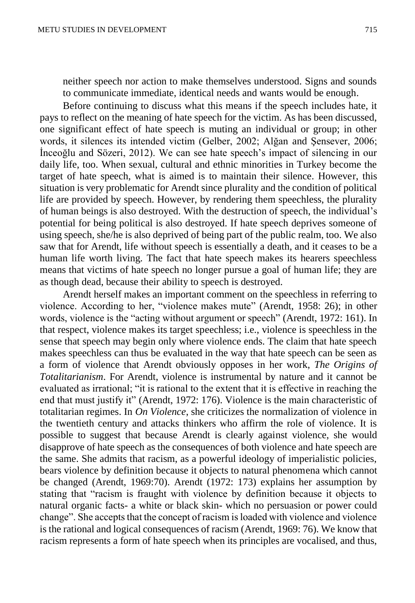neither speech nor action to make themselves understood. Signs and sounds to communicate immediate, identical needs and wants would be enough.

Before continuing to discuss what this means if the speech includes hate, it pays to reflect on the meaning of hate speech for the victim. As has been discussed, one significant effect of hate speech is muting an individual or group; in other words, it silences its intended victim (Gelber, 2002; Alğan and Şensever, 2006; İnceoğlu and Sözeri, 2012). We can see hate speech's impact of silencing in our daily life, too. When sexual, cultural and ethnic minorities in Turkey become the target of hate speech, what is aimed is to maintain their silence. However, this situation is very problematic for Arendt since plurality and the condition of political life are provided by speech. However, by rendering them speechless, the plurality of human beings is also destroyed. With the destruction of speech, the individual's potential for being political is also destroyed. If hate speech deprives someone of using speech, she/he is also deprived of being part of the public realm, too. We also saw that for Arendt, life without speech is essentially a death, and it ceases to be a human life worth living. The fact that hate speech makes its hearers speechless means that victims of hate speech no longer pursue a goal of human life; they are as though dead, because their ability to speech is destroyed.

Arendt herself makes an important comment on the speechless in referring to violence. According to her, "violence makes mute" (Arendt, 1958: 26); in other words, violence is the "acting without argument or speech" (Arendt, 1972: 161). In that respect, violence makes its target speechless; i.e., violence is speechless in the sense that speech may begin only where violence ends. The claim that hate speech makes speechless can thus be evaluated in the way that hate speech can be seen as a form of violence that Arendt obviously opposes in her work, *The Origins of Totalitarianism*. For Arendt, violence is instrumental by nature and it cannot be evaluated as irrational; "it is rational to the extent that it is effective in reaching the end that must justify it" (Arendt, 1972: 176). Violence is the main characteristic of totalitarian regimes. In *On Violence*, she criticizes the normalization of violence in the twentieth century and attacks thinkers who affirm the role of violence. It is possible to suggest that because Arendt is clearly against violence, she would disapprove of hate speech as the consequences of both violence and hate speech are the same. She admits that racism, as a powerful ideology of imperialistic policies, bears violence by definition because it objects to natural phenomena which cannot be changed (Arendt, 1969:70). Arendt (1972: 173) explains her assumption by stating that "racism is fraught with violence by definition because it objects to natural organic facts- a white or black skin- which no persuasion or power could change". She accepts that the concept of racism is loaded with violence and violence is the rational and logical consequences of racism (Arendt, 1969: 76). We know that racism represents a form of hate speech when its principles are vocalised, and thus,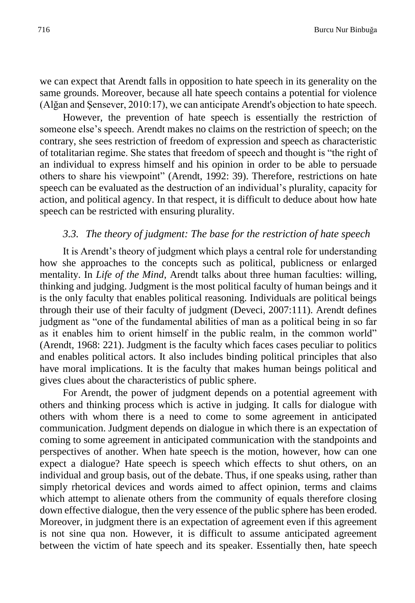we can expect that Arendt falls in opposition to hate speech in its generality on the same grounds. Moreover, because all hate speech contains a potential for violence (Alğan and Şensever, 2010:17), we can anticipate Arendt's objection to hate speech.

However, the prevention of hate speech is essentially the restriction of someone else's speech. Arendt makes no claims on the restriction of speech; on the contrary, she sees restriction of freedom of expression and speech as characteristic of totalitarian regime. She states that freedom of speech and thought is "the right of an individual to express himself and his opinion in order to be able to persuade others to share his viewpoint" (Arendt, 1992: 39). Therefore, restrictions on hate speech can be evaluated as the destruction of an individual's plurality, capacity for action, and political agency. In that respect, it is difficult to deduce about how hate speech can be restricted with ensuring plurality.

#### *3.3. The theory of judgment: The base for the restriction of hate speech*

It is Arendt's theory of judgment which plays a central role for understanding how she approaches to the concepts such as political, publicness or enlarged mentality. In *Life of the Mind*, Arendt talks about three human faculties: willing, thinking and judging. Judgment is the most political faculty of human beings and it is the only faculty that enables political reasoning. Individuals are political beings through their use of their faculty of judgment (Deveci, 2007:111). Arendt defines judgment as "one of the fundamental abilities of man as a political being in so far as it enables him to orient himself in the public realm, in the common world" (Arendt, 1968: 221). Judgment is the faculty which faces cases peculiar to politics and enables political actors. It also includes binding political principles that also have moral implications. It is the faculty that makes human beings political and gives clues about the characteristics of public sphere.

For Arendt, the power of judgment depends on a potential agreement with others and thinking process which is active in judging. It calls for dialogue with others with whom there is a need to come to some agreement in anticipated communication. Judgment depends on dialogue in which there is an expectation of coming to some agreement in anticipated communication with the standpoints and perspectives of another. When hate speech is the motion, however, how can one expect a dialogue? Hate speech is speech which effects to shut others, on an individual and group basis, out of the debate. Thus, if one speaks using, rather than simply rhetorical devices and words aimed to affect opinion, terms and claims which attempt to alienate others from the community of equals therefore closing down effective dialogue, then the very essence of the public sphere has been eroded. Moreover, in judgment there is an expectation of agreement even if this agreement is not sine qua non. However, it is difficult to assume anticipated agreement between the victim of hate speech and its speaker. Essentially then, hate speech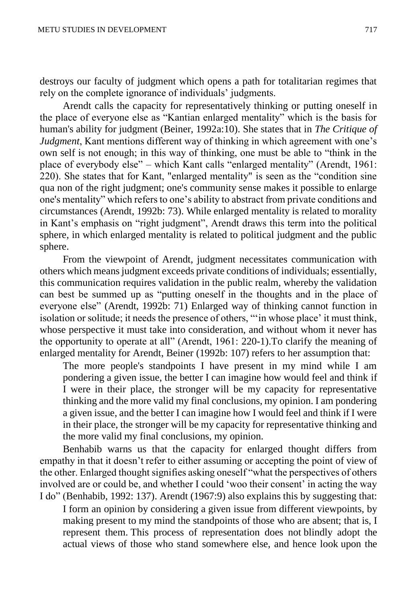destroys our faculty of judgment which opens a path for totalitarian regimes that rely on the complete ignorance of individuals' judgments.

Arendt calls the capacity for representatively thinking or putting oneself in the place of everyone else as "Kantian enlarged mentality" which is the basis for human's ability for judgment (Beiner, 1992a:10). She states that in *The Critique of Judgment*, Kant mentions different way of thinking in which agreement with one's own self is not enough; in this way of thinking, one must be able to "think in the place of everybody else" – which Kant calls "enlarged mentality" (Arendt, 1961: 220). She states that for Kant, "enlarged mentality" is seen as the "condition sine qua non of the right judgment; one's community sense makes it possible to enlarge one's mentality" which refers to one's ability to abstract from private conditions and circumstances (Arendt, 1992b: 73). While enlarged mentality is related to morality in Kant's emphasis on "right judgment", Arendt draws this term into the political sphere, in which enlarged mentality is related to political judgment and the public sphere.

From the viewpoint of Arendt, judgment necessitates communication with others which means judgment exceeds private conditions of individuals; essentially, this communication requires validation in the public realm, whereby the validation can best be summed up as "putting oneself in the thoughts and in the place of everyone else" (Arendt, 1992b: 71) Enlarged way of thinking cannot function in isolation or solitude; it needs the presence of others, "'in whose place' it must think, whose perspective it must take into consideration, and without whom it never has the opportunity to operate at all" (Arendt, 1961: 220-1).To clarify the meaning of enlarged mentality for Arendt, Beiner (1992b: 107) refers to her assumption that:

The more people's standpoints I have present in my mind while I am pondering a given issue, the better I can imagine how would feel and think if I were in their place, the stronger will be my capacity for representative thinking and the more valid my final conclusions, my opinion. I am pondering a given issue, and the better I can imagine how I would feel and think if I were in their place, the stronger will be my capacity for representative thinking and the more valid my final conclusions, my opinion.

Benhabib warns us that the capacity for enlarged thought differs from empathy in that it doesn't refer to either assuming or accepting the point of view of the other. Enlarged thought signifies asking oneself "what the perspectives of others involved are or could be, and whether I could 'woo their consent' in acting the way I do" (Benhabib, 1992: 137). Arendt (1967:9) also explains this by suggesting that:

I form an opinion by considering a given issue from different viewpoints, by making present to my mind the standpoints of those who are absent; that is, I represent them. This process of representation does not blindly adopt the actual views of those who stand somewhere else, and hence look upon the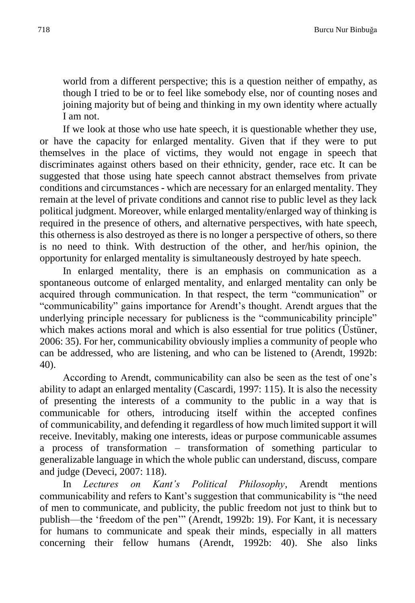world from a different perspective; this is a question neither of empathy, as though I tried to be or to feel like somebody else, nor of counting noses and joining majority but of being and thinking in my own identity where actually I am not.

If we look at those who use hate speech, it is questionable whether they use, or have the capacity for enlarged mentality. Given that if they were to put themselves in the place of victims, they would not engage in speech that discriminates against others based on their ethnicity, gender, race etc. It can be suggested that those using hate speech cannot abstract themselves from private conditions and circumstances - which are necessary for an enlarged mentality. They remain at the level of private conditions and cannot rise to public level as they lack political judgment. Moreover, while enlarged mentality/enlarged way of thinking is required in the presence of others, and alternative perspectives, with hate speech, this otherness is also destroyed as there is no longer a perspective of others, so there is no need to think. With destruction of the other, and her/his opinion, the opportunity for enlarged mentality is simultaneously destroyed by hate speech.

In enlarged mentality, there is an emphasis on communication as a spontaneous outcome of enlarged mentality, and enlarged mentality can only be acquired through communication. In that respect, the term "communication" or "communicability" gains importance for Arendt's thought. Arendt argues that the underlying principle necessary for publicness is the "communicability principle" which makes actions moral and which is also essential for true politics (Üstüner, 2006: 35). For her, communicability obviously implies a community of people who can be addressed, who are listening, and who can be listened to (Arendt, 1992b: 40).

According to Arendt, communicability can also be seen as the test of one's ability to adapt an enlarged mentality (Cascardi, 1997: 115). It is also the necessity of presenting the interests of a community to the public in a way that is communicable for others, introducing itself within the accepted confines of communicability, and defending it regardless of how much limited support it will receive. Inevitably, making one interests, ideas or purpose communicable assumes a process of transformation – transformation of something particular to generalizable language in which the whole public can understand, discuss, compare and judge (Deveci, 2007: 118).

In *Lectures on Kant's Political Philosophy*, Arendt mentions communicability and refers to Kant's suggestion that communicability is "the need of men to communicate, and publicity, the public freedom not just to think but to publish—the 'freedom of the pen'" (Arendt, 1992b: 19). For Kant, it is necessary for humans to communicate and speak their minds, especially in all matters concerning their fellow humans (Arendt, 1992b: 40). She also links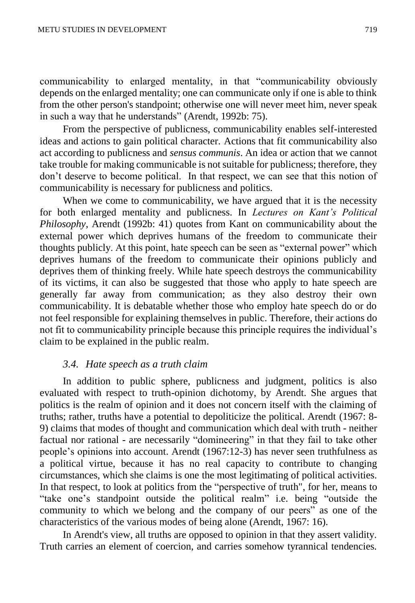communicability to enlarged mentality, in that "communicability obviously depends on the enlarged mentality; one can communicate only if one is able to think from the other person's standpoint; otherwise one will never meet him, never speak in such a way that he understands" (Arendt, 1992b: 75).

From the perspective of publicness, communicability enables self-interested ideas and actions to gain political character. Actions that fit communicability also act according to publicness and *sensus communis*. An idea or action that we cannot take trouble for making communicable is not suitable for publicness; therefore, they don't deserve to become political. In that respect, we can see that this notion of communicability is necessary for publicness and politics.

When we come to communicability, we have argued that it is the necessity for both enlarged mentality and publicness. In *Lectures on Kant's Political Philosophy*, Arendt (1992b: 41) quotes from Kant on communicability about the external power which deprives humans of the freedom to communicate their thoughts publicly. At this point, hate speech can be seen as "external power" which deprives humans of the freedom to communicate their opinions publicly and deprives them of thinking freely. While hate speech destroys the communicability of its victims, it can also be suggested that those who apply to hate speech are generally far away from communication; as they also destroy their own communicability. It is debatable whether those who employ hate speech do or do not feel responsible for explaining themselves in public. Therefore, their actions do not fit to communicability principle because this principle requires the individual's claim to be explained in the public realm.

#### *3.4. Hate speech as a truth claim*

In addition to public sphere, publicness and judgment, politics is also evaluated with respect to truth-opinion dichotomy, by Arendt. She argues that politics is the realm of opinion and it does not concern itself with the claiming of truths; rather, truths have a potential to depoliticize the political. Arendt (1967: 8- 9) claims that modes of thought and communication which deal with truth - neither factual nor rational - are necessarily "domineering" in that they fail to take other people's opinions into account. Arendt (1967:12-3) has never seen truthfulness as a political virtue, because it has no real capacity to contribute to changing circumstances, which she claims is one the most legitimating of political activities. In that respect, to look at politics from the "perspective of truth", for her, means to "take one's standpoint outside the political realm" i.e. being "outside the community to which we belong and the company of our peers" as one of the characteristics of the various modes of being alone (Arendt, 1967: 16).

In Arendt's view, all truths are opposed to opinion in that they assert validity. Truth carries an element of coercion, and carries somehow tyrannical tendencies.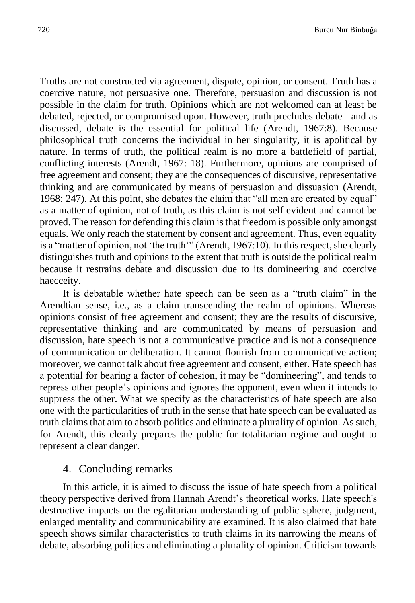Truths are not constructed via agreement, dispute, opinion, or consent. Truth has a coercive nature, not persuasive one. Therefore, persuasion and discussion is not possible in the claim for truth. Opinions which are not welcomed can at least be debated, rejected, or compromised upon. However, truth precludes debate - and as discussed, debate is the essential for political life (Arendt, 1967:8). Because philosophical truth concerns the individual in her singularity, it is apolitical by nature. In terms of truth, the political realm is no more a battlefield of partial, conflicting interests (Arendt, 1967: 18). Furthermore, opinions are comprised of free agreement and consent; they are the consequences of discursive, representative thinking and are communicated by means of persuasion and dissuasion (Arendt, 1968: 247). At this point, she debates the claim that "all men are created by equal" as a matter of opinion, not of truth, as this claim is not self evident and cannot be proved. The reason for defending this claim is that freedom is possible only amongst equals. We only reach the statement by consent and agreement. Thus, even equality is a "matter of opinion, not 'the truth'" (Arendt, 1967:10). In this respect, she clearly distinguishes truth and opinions to the extent that truth is outside the political realm because it restrains debate and discussion due to its domineering and coercive haecceity.

It is debatable whether hate speech can be seen as a "truth claim" in the Arendtian sense, i.e., as a claim transcending the realm of opinions. Whereas opinions consist of free agreement and consent; they are the results of discursive, representative thinking and are communicated by means of persuasion and discussion, hate speech is not a communicative practice and is not a consequence of communication or deliberation. It cannot flourish from communicative action; moreover, we cannot talk about free agreement and consent, either. Hate speech has a potential for bearing a factor of cohesion, it may be "domineering", and tends to repress other people's opinions and ignores the opponent, even when it intends to suppress the other. What we specify as the characteristics of hate speech are also one with the particularities of truth in the sense that hate speech can be evaluated as truth claims that aim to absorb politics and eliminate a plurality of opinion. As such, for Arendt, this clearly prepares the public for totalitarian regime and ought to represent a clear danger.

#### 4. Concluding remarks

In this article, it is aimed to discuss the issue of hate speech from a political theory perspective derived from Hannah Arendt's theoretical works. Hate speech's destructive impacts on the egalitarian understanding of public sphere, judgment, enlarged mentality and communicability are examined. It is also claimed that hate speech shows similar characteristics to truth claims in its narrowing the means of debate, absorbing politics and eliminating a plurality of opinion. Criticism towards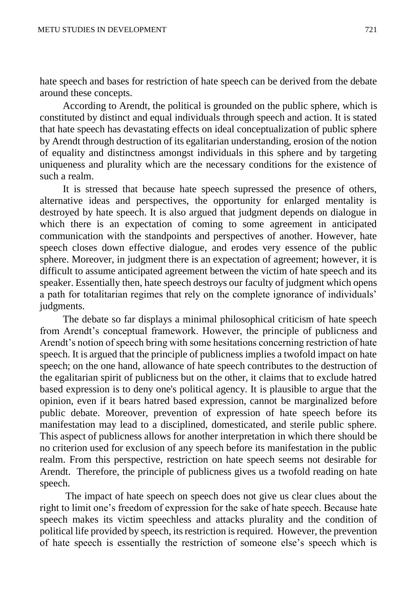hate speech and bases for restriction of hate speech can be derived from the debate around these concepts.

According to Arendt, the political is grounded on the public sphere, which is constituted by distinct and equal individuals through speech and action. It is stated that hate speech has devastating effects on ideal conceptualization of public sphere by Arendt through destruction of its egalitarian understanding, erosion of the notion of equality and distinctness amongst individuals in this sphere and by targeting uniqueness and plurality which are the necessary conditions for the existence of such a realm.

It is stressed that because hate speech supressed the presence of others, alternative ideas and perspectives, the opportunity for enlarged mentality is destroyed by hate speech. It is also argued that judgment depends on dialogue in which there is an expectation of coming to some agreement in anticipated communication with the standpoints and perspectives of another. However, hate speech closes down effective dialogue, and erodes very essence of the public sphere. Moreover, in judgment there is an expectation of agreement; however, it is difficult to assume anticipated agreement between the victim of hate speech and its speaker. Essentially then, hate speech destroys our faculty of judgment which opens a path for totalitarian regimes that rely on the complete ignorance of individuals' judgments.

The debate so far displays a minimal philosophical criticism of hate speech from Arendt's conceptual framework. However, the principle of publicness and Arendt's notion of speech bring with some hesitations concerning restriction of hate speech. It is argued that the principle of publicness implies a twofold impact on hate speech; on the one hand, allowance of hate speech contributes to the destruction of the egalitarian spirit of publicness but on the other, it claims that to exclude hatred based expression is to deny one's political agency. It is plausible to argue that the opinion, even if it bears hatred based expression, cannot be marginalized before public debate. Moreover, prevention of expression of hate speech before its manifestation may lead to a disciplined, domesticated, and sterile public sphere. This aspect of publicness allows for another interpretation in which there should be no criterion used for exclusion of any speech before its manifestation in the public realm. From this perspective, restriction on hate speech seems not desirable for Arendt. Therefore, the principle of publicness gives us a twofold reading on hate speech.

The impact of hate speech on speech does not give us clear clues about the right to limit one's freedom of expression for the sake of hate speech. Because hate speech makes its victim speechless and attacks plurality and the condition of political life provided by speech, its restriction is required. However, the prevention of hate speech is essentially the restriction of someone else's speech which is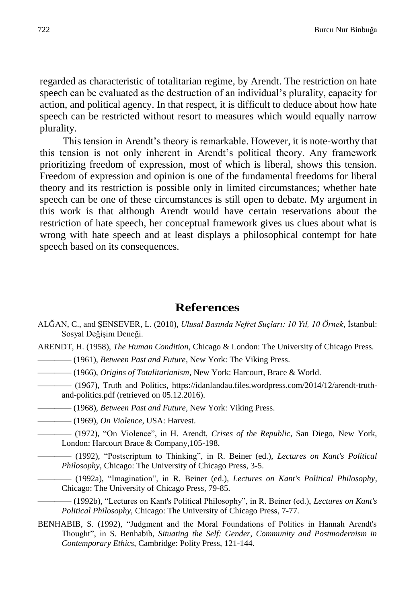regarded as characteristic of totalitarian regime, by Arendt. The restriction on hate speech can be evaluated as the destruction of an individual's plurality, capacity for action, and political agency. In that respect, it is difficult to deduce about how hate speech can be restricted without resort to measures which would equally narrow plurality.

This tension in Arendt's theory is remarkable. However, it is note-worthy that this tension is not only inherent in Arendt's political theory. Any framework prioritizing freedom of expression, most of which is liberal, shows this tension. Freedom of expression and opinion is one of the fundamental freedoms for liberal theory and its restriction is possible only in limited circumstances; whether hate speech can be one of these circumstances is still open to debate. My argument in this work is that although Arendt would have certain reservations about the restriction of hate speech, her conceptual framework gives us clues about what is wrong with hate speech and at least displays a philosophical contempt for hate speech based on its consequences.

## **References**

- ALĞAN, C., and ŞENSEVER, L. (2010), *Ulusal Basında Nefret Suçları: 10 Yıl, 10 Örnek*, İstanbul: Sosyal Değişim Deneği.
- ARENDT, H. (1958), *The Human Condition*, Chicago & London: The University of Chicago Press.
	- ———— (1961), *Between Past and Future*, New York: The Viking Press.
	- ———— (1966), *Origins of Totalitarianism*, New York: Harcourt, Brace & World.
	- ———— (1967), Truth and Politics, https://idanlandau.files.wordpress.com/2014/12/arendt-truthand-politics.pdf (retrieved on 05.12.2016).
		- ———— (1968), *Between Past and Future,* New York: Viking Press.
	- ———— (1969), *On Violence*, USA: Harvest.
	- ———— (1972), "On Violence", in H. Arendt, *Crises of the Republic*, San Diego, New York, London: Harcourt Brace & Company,105-198.
		- ———— (1992), "Postscriptum to Thinking", in R. Beiner (ed.), *Lectures on Kant's Political Philosophy*, Chicago: The University of Chicago Press, 3-5.
	- ———— (1992a), "Imagination", in R. Beiner (ed.)*, Lectures on Kant's Political Philosophy,*  Chicago: The University of Chicago Press, 79-85.
		- ———— (1992b), "Lectures on Kant's Political Philosophy", in R. Beiner (ed.), *Lectures on Kant's Political Philosophy*, Chicago: The University of Chicago Press, 7-77.
- BENHABIB, S. (1992), "Judgment and the Moral Foundations of Politics in Hannah Arendt's Thought", in S. Benhabib, *Situating the Self: Gender, Community and Postmodernism in Contemporary Ethics*, Cambridge: Polity Press, 121-144.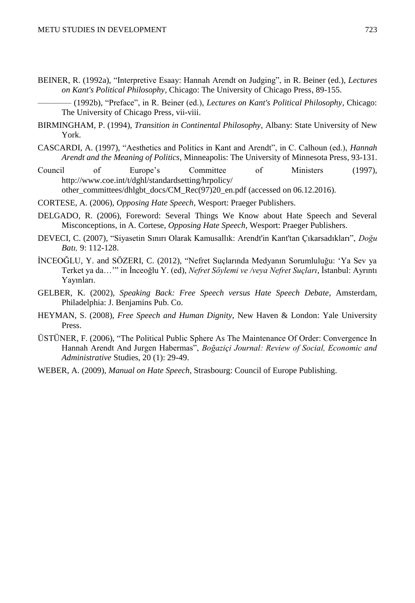BEINER, R. (1992a), "Interpretive Esaay: Hannah Arendt on Judging", in R. Beiner (ed.), *Lectures on Kant's Political Philosophy,* Chicago: The University of Chicago Press, 89-155.

———— (1992b), "Preface", in R. Beiner (ed.), *Lectures on Kant's Political Philosophy*, Chicago: The University of Chicago Press, vii-viii.

- BIRMINGHAM, P. (1994), *Transition in Continental Philosophy,* Albany: State University of New York.
- CASCARDI, A. (1997), "Aesthetics and Politics in Kant and Arendt", in C. Calhoun (ed.), *Hannah Arendt and the Meaning of Politics*, Minneapolis: The University of Minnesota Press*,* 93-131.
- Council of Europe's Committee of Ministers (1997), [http://www.coe.int/t/dghl/standardsetting/hrpolicy/](http://www.coe.int/t/dghl/standardsetting/hrpolicy/other_committees/dh-lgbt_docs/CM_Rec(97)20_en.pdf) [other\\_committees/dhlgbt\\_docs/CM\\_Rec\(97\)20\\_en.pdf](http://www.coe.int/t/dghl/standardsetting/hrpolicy/other_committees/dh-lgbt_docs/CM_Rec(97)20_en.pdf) (accessed on 06.12.2016).
- CORTESE, A. (2006), *Opposing Hate Speech*, Wesport: Praeger Publishers.
- DELGADO, R. (2006), Foreword: Several Things We Know about Hate Speech and Several Misconceptions, in A. Cortese, *Opposing Hate Speech,* Wesport: Praeger Publishers.
- DEVECI, C. (2007), "Siyasetin Sınırı Olarak Kamusallık: Arendt'in Kant'tan Çıkarsadıkları", *Doğu Batı,* 9: 112-128.
- İNCEOĞLU, Y. and SÖZERI, C. (2012), "Nefret Suçlarında Medyanın Sorumluluğu: 'Ya Sev ya Terket ya da…'" in İnceoğlu Y. (ed), *Nefret Söylemi ve /veya Nefret Suçları*, İstanbul: Ayrıntı Yayınları.
- GELBER, K. (2002), *Speaking Back: Free Speech versus Hate Speech Debate*, Amsterdam, Philadelphia: J. Benjamins Pub. Co.
- HEYMAN, S. (2008), *Free Speech and Human Dignity,* New Haven & London: Yale University Press.
- ÜSTÜNER, F. (2006), "The Political Public Sphere As The Maintenance Of Order: Convergence In Hannah Arendt And Jurgen Habermas", *Boğaziçi Journal: Review of Social, Economic and Administrative* Studies, 20 (1): 29-49.
- WEBER, A. (2009), *Manual on Hate Speech*, Strasbourg: Council of Europe Publishing.